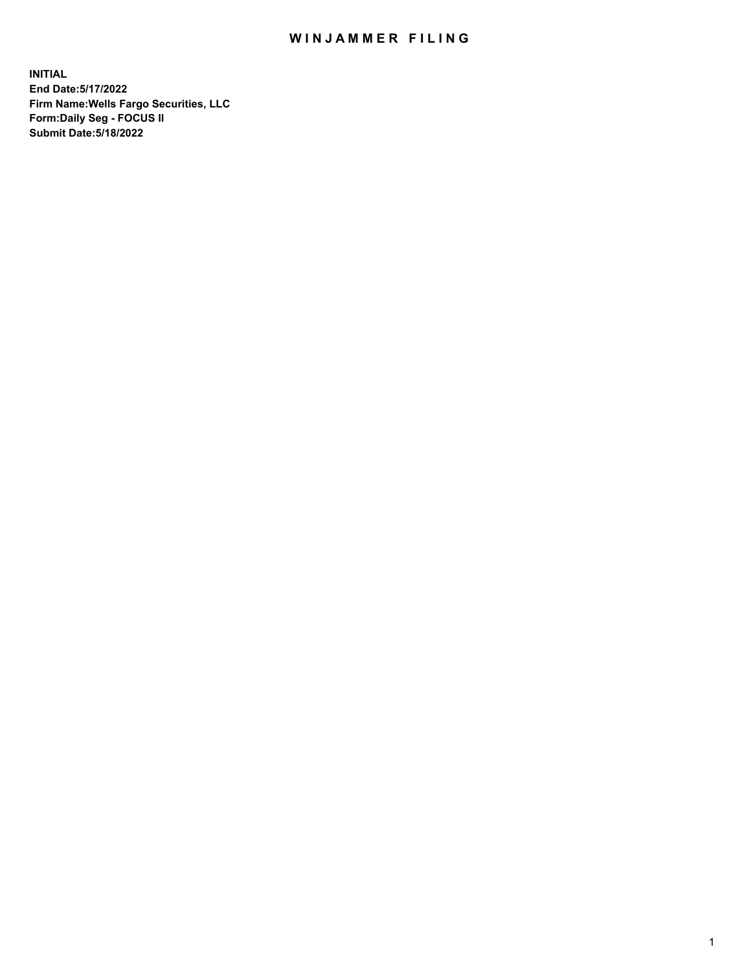## WIN JAMMER FILING

**INITIAL End Date:5/17/2022 Firm Name:Wells Fargo Securities, LLC Form:Daily Seg - FOCUS II Submit Date:5/18/2022**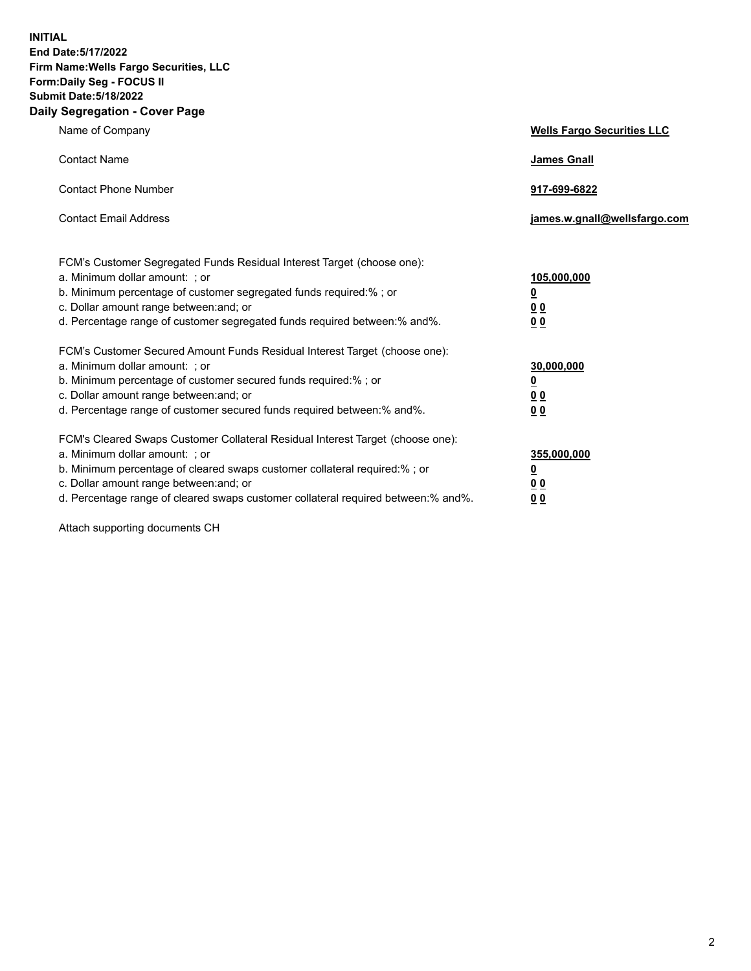**INITIAL End Date:5/17/2022 Firm Name:Wells Fargo Securities, LLC Form:Daily Seg - FOCUS II Submit Date:5/18/2022 Daily Segregation - Cover Page**

| Name of Company                                                                                                                                                                                                                                                                                                                | <b>Wells Fargo Securities LLC</b>                          |
|--------------------------------------------------------------------------------------------------------------------------------------------------------------------------------------------------------------------------------------------------------------------------------------------------------------------------------|------------------------------------------------------------|
| <b>Contact Name</b>                                                                                                                                                                                                                                                                                                            | <b>James Gnall</b>                                         |
| <b>Contact Phone Number</b>                                                                                                                                                                                                                                                                                                    | 917-699-6822                                               |
| <b>Contact Email Address</b>                                                                                                                                                                                                                                                                                                   | james.w.gnall@wellsfargo.com                               |
| FCM's Customer Segregated Funds Residual Interest Target (choose one):<br>a. Minimum dollar amount: ; or<br>b. Minimum percentage of customer segregated funds required:% ; or<br>c. Dollar amount range between: and; or<br>d. Percentage range of customer segregated funds required between:% and%.                         | 105,000,000<br><u>0</u><br>0 <sub>0</sub><br>00            |
| FCM's Customer Secured Amount Funds Residual Interest Target (choose one):<br>a. Minimum dollar amount: ; or<br>b. Minimum percentage of customer secured funds required:%; or<br>c. Dollar amount range between: and; or<br>d. Percentage range of customer secured funds required between:% and%.                            | 30,000,000<br><u>0</u><br>0 <sub>0</sub><br>0 <sub>0</sub> |
| FCM's Cleared Swaps Customer Collateral Residual Interest Target (choose one):<br>a. Minimum dollar amount: ; or<br>b. Minimum percentage of cleared swaps customer collateral required:% ; or<br>c. Dollar amount range between: and; or<br>d. Percentage range of cleared swaps customer collateral required between:% and%. | 355,000,000<br><u>0</u><br>00<br>00                        |

Attach supporting documents CH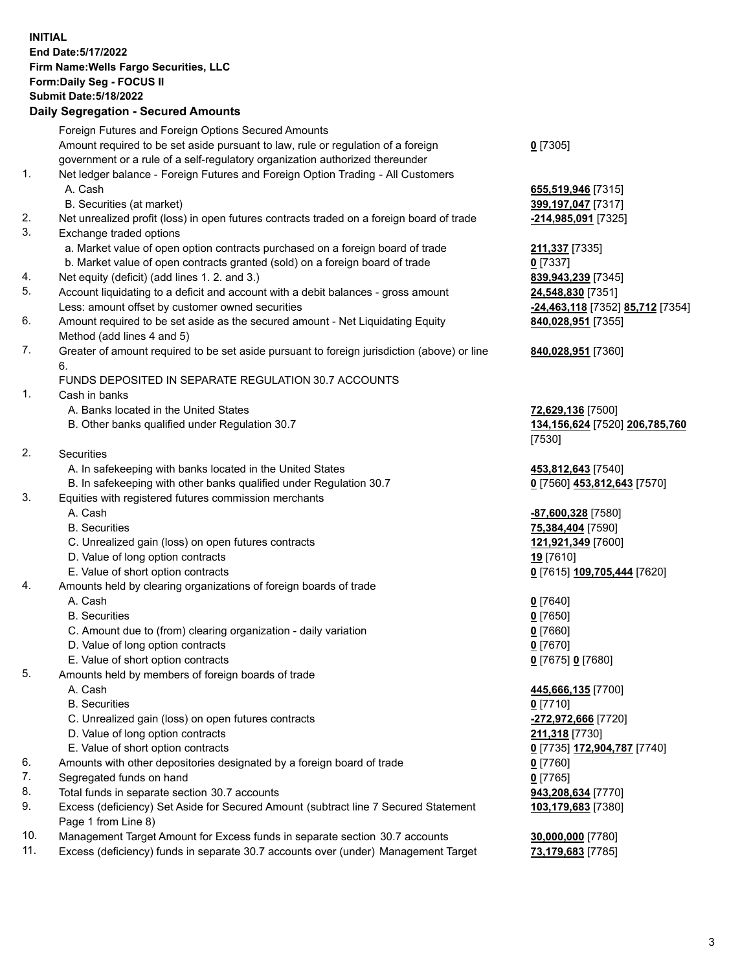**INITIAL End Date:5/17/2022 Firm Name:Wells Fargo Securities, LLC Form:Daily Seg - FOCUS II Submit Date:5/18/2022 Daily Segregation - Secured Amounts**

## Foreign Futures and Foreign Options Secured Amounts Amount required to be set aside pursuant to law, rule or regulation of a foreign government or a rule of a self-regulatory organization authorized thereunder 1. Net ledger balance - Foreign Futures and Foreign Option Trading - All Customers A. Cash **655,519,946** [7315] B. Securities (at market) **399,197,047** [7317] 2. Net unrealized profit (loss) in open futures contracts traded on a foreign board of trade **-214,985,091** [7325] 3. Exchange traded options a. Market value of open option contracts purchased on a foreign board of trade **211,337** [7335] b. Market value of open contracts granted (sold) on a foreign board of trade **0** [7337] 4. Net equity (deficit) (add lines 1. 2. and 3.) **839,943,239** [7345] 5. Account liquidating to a deficit and account with a debit balances - gross amount **24,548,830** [7351] Less: amount offset by customer owned securities **-24,463,118** [7352] **85,712** [7354] 6. Amount required to be set aside as the secured amount - Net Liquidating Equity Method (add lines 4 and 5) 7. Greater of amount required to be set aside pursuant to foreign jurisdiction (above) or line 6. FUNDS DEPOSITED IN SEPARATE REGULATION 30.7 ACCOUNTS 1. Cash in banks A. Banks located in the United States **72,629,136** [7500] B. Other banks qualified under Regulation 30.7 **134,156,624** [7520] **206,785,760** 2. Securities A. In safekeeping with banks located in the United States **453,812,643** [7540] B. In safekeeping with other banks qualified under Regulation 30.7 **0** [7560] **453,812,643** [7570] 3. Equities with registered futures commission merchants A. Cash **-87,600,328** [7580] B. Securities **75,384,404** [7590] C. Unrealized gain (loss) on open futures contracts **121,921,349** [7600] D. Value of long option contracts **19** [7610] E. Value of short option contracts **0** [7615] **109,705,444** [7620] 4. Amounts held by clearing organizations of foreign boards of trade A. Cash **0** [7640]

- B. Securities **0** [7650]
- C. Amount due to (from) clearing organization daily variation **0** [7660]
- D. Value of long option contracts **0** [7670]
- E. Value of short option contracts **0** [7675] **0** [7680]
- 5. Amounts held by members of foreign boards of trade
	-
	- B. Securities **0** [7710]
	- C. Unrealized gain (loss) on open futures contracts **-272,972,666** [7720]
	- D. Value of long option contracts **211,318** [7730]
	- E. Value of short option contracts **0** [7735] **172,904,787** [7740]
- 6. Amounts with other depositories designated by a foreign board of trade **0** [7760]
- 7. Segregated funds on hand **0** [7765]
- 8. Total funds in separate section 30.7 accounts **943,208,634** [7770]
- 9. Excess (deficiency) Set Aside for Secured Amount (subtract line 7 Secured Statement Page 1 from Line 8)
- 10. Management Target Amount for Excess funds in separate section 30.7 accounts **30,000,000** [7780]
- 11. Excess (deficiency) funds in separate 30.7 accounts over (under) Management Target **73,179,683** [7785]

**0** [7305]

**840,028,951** [7355]

## **840,028,951** [7360]

[7530]

 A. Cash **445,666,135** [7700] **103,179,683** [7380]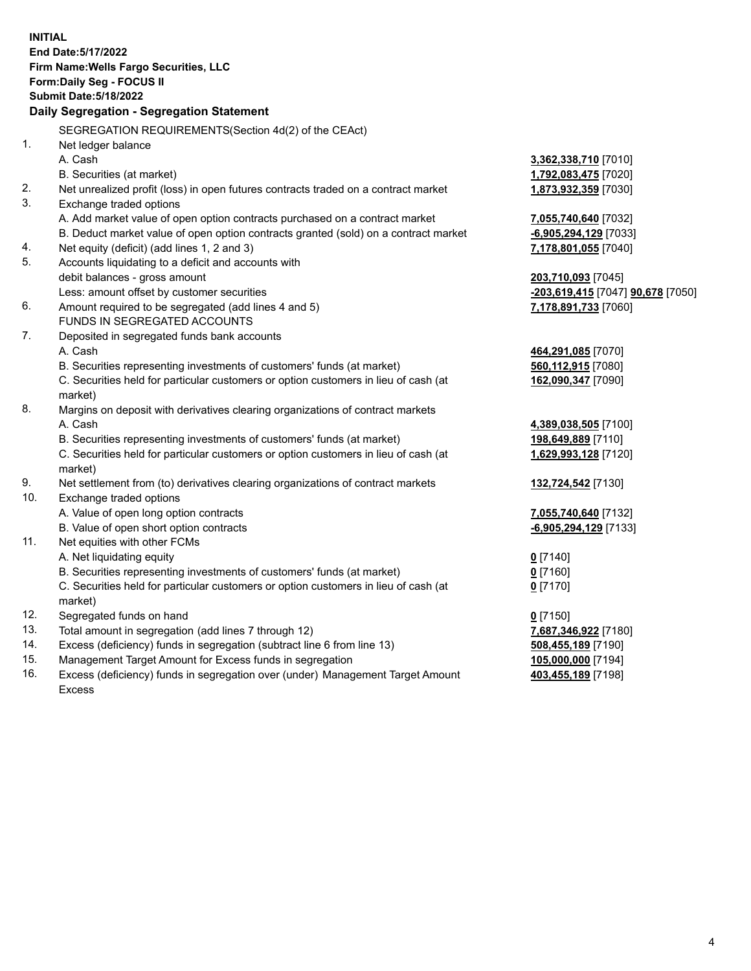**INITIAL End Date:5/17/2022 Firm Name:Wells Fargo Securities, LLC Form:Daily Seg - FOCUS II Submit Date:5/18/2022 Daily Segregation - Segregation Statement** SEGREGATION REQUIREMENTS(Section 4d(2) of the CEAct) 1. Net ledger balance A. Cash **3,362,338,710** [7010] B. Securities (at market) **1,792,083,475** [7020] 2. Net unrealized profit (loss) in open futures contracts traded on a contract market **1,873,932,359** [7030] 3. Exchange traded options A. Add market value of open option contracts purchased on a contract market **7,055,740,640** [7032] B. Deduct market value of open option contracts granted (sold) on a contract market **-6,905,294,129** [7033] 4. Net equity (deficit) (add lines 1, 2 and 3) **7,178,801,055** [7040] 5. Accounts liquidating to a deficit and accounts with debit balances - gross amount **203,710,093** [7045] Less: amount offset by customer securities **-203,619,415** [7047] **90,678** [7050] 6. Amount required to be segregated (add lines 4 and 5) **7,178,891,733** [7060] FUNDS IN SEGREGATED ACCOUNTS 7. Deposited in segregated funds bank accounts A. Cash **464,291,085** [7070] B. Securities representing investments of customers' funds (at market) **560,112,915** [7080] C. Securities held for particular customers or option customers in lieu of cash (at market) **162,090,347** [7090] 8. Margins on deposit with derivatives clearing organizations of contract markets A. Cash **4,389,038,505** [7100] B. Securities representing investments of customers' funds (at market) **198,649,889** [7110] C. Securities held for particular customers or option customers in lieu of cash (at market) **1,629,993,128** [7120] 9. Net settlement from (to) derivatives clearing organizations of contract markets **132,724,542** [7130] 10. Exchange traded options A. Value of open long option contracts **7,055,740,640** [7132] B. Value of open short option contracts **-6,905,294,129** [7133] 11. Net equities with other FCMs A. Net liquidating equity **0** [7140] B. Securities representing investments of customers' funds (at market) **0** [7160] C. Securities held for particular customers or option customers in lieu of cash (at market) **0** [7170] 12. Segregated funds on hand **0** [7150] 13. Total amount in segregation (add lines 7 through 12) **7,687,346,922** [7180] 14. Excess (deficiency) funds in segregation (subtract line 6 from line 13) **508,455,189** [7190] 15. Management Target Amount for Excess funds in segregation **105,000,000** [7194] 16. Excess (deficiency) funds in segregation over (under) Management Target Amount **403,455,189** [7198]

Excess